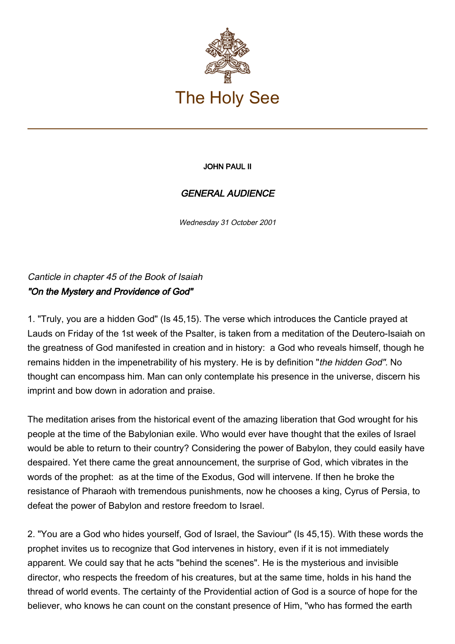

## JOHN PAUL II

## GENERAL AUDIENCE

Wednesday 31 October 2001

Canticle in chapter 45 of the Book of Isaiah "On the Mystery and Providence of God"

1. "Truly, you are a hidden God" (Is 45,15). The verse which introduces the Canticle prayed at Lauds on Friday of the 1st week of the Psalter, is taken from a meditation of the Deutero-Isaiah on the greatness of God manifested in creation and in history: a God who reveals himself, though he remains hidden in the impenetrability of his mystery. He is by definition "the hidden God". No thought can encompass him. Man can only contemplate his presence in the universe, discern his imprint and bow down in adoration and praise.

The meditation arises from the historical event of the amazing liberation that God wrought for his people at the time of the Babylonian exile. Who would ever have thought that the exiles of Israel would be able to return to their country? Considering the power of Babylon, they could easily have despaired. Yet there came the great announcement, the surprise of God, which vibrates in the words of the prophet: as at the time of the Exodus, God will intervene. If then he broke the resistance of Pharaoh with tremendous punishments, now he chooses a king, Cyrus of Persia, to defeat the power of Babylon and restore freedom to Israel.

2. "You are a God who hides yourself, God of Israel, the Saviour" (Is 45,15). With these words the prophet invites us to recognize that God intervenes in history, even if it is not immediately apparent. We could say that he acts "behind the scenes". He is the mysterious and invisible director, who respects the freedom of his creatures, but at the same time, holds in his hand the thread of world events. The certainty of the Providential action of God is a source of hope for the believer, who knows he can count on the constant presence of Him, "who has formed the earth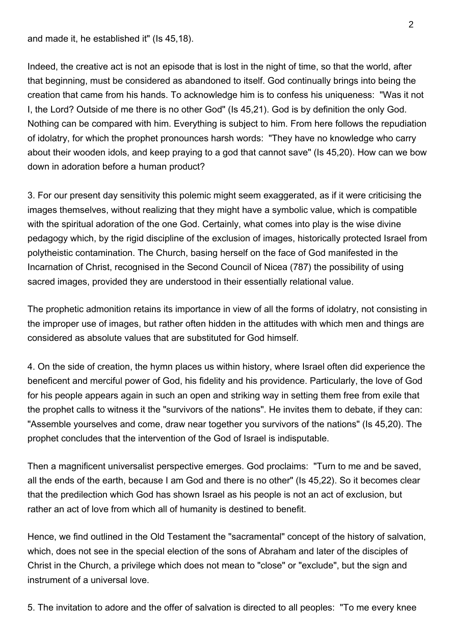and made it, he established it" (Is 45,18).

Indeed, the creative act is not an episode that is lost in the night of time, so that the world, after that beginning, must be considered as abandoned to itself. God continually brings into being the creation that came from his hands. To acknowledge him is to confess his uniqueness: "Was it not I, the Lord? Outside of me there is no other God" (Is 45,21). God is by definition the only God. Nothing can be compared with him. Everything is subject to him. From here follows the repudiation of idolatry, for which the prophet pronounces harsh words: "They have no knowledge who carry about their wooden idols, and keep praying to a god that cannot save" (Is 45,20). How can we bow down in adoration before a human product?

3. For our present day sensitivity this polemic might seem exaggerated, as if it were criticising the images themselves, without realizing that they might have a symbolic value, which is compatible with the spiritual adoration of the one God. Certainly, what comes into play is the wise divine pedagogy which, by the rigid discipline of the exclusion of images, historically protected Israel from polytheistic contamination. The Church, basing herself on the face of God manifested in the Incarnation of Christ, recognised in the Second Council of Nicea (787) the possibility of using sacred images, provided they are understood in their essentially relational value.

The prophetic admonition retains its importance in view of all the forms of idolatry, not consisting in the improper use of images, but rather often hidden in the attitudes with which men and things are considered as absolute values that are substituted for God himself.

4. On the side of creation, the hymn places us within history, where Israel often did experience the beneficent and merciful power of God, his fidelity and his providence. Particularly, the love of God for his people appears again in such an open and striking way in setting them free from exile that the prophet calls to witness it the "survivors of the nations". He invites them to debate, if they can: "Assemble yourselves and come, draw near together you survivors of the nations" (Is 45,20). The prophet concludes that the intervention of the God of Israel is indisputable.

Then a magnificent universalist perspective emerges. God proclaims: "Turn to me and be saved, all the ends of the earth, because I am God and there is no other" (Is 45,22). So it becomes clear that the predilection which God has shown Israel as his people is not an act of exclusion, but rather an act of love from which all of humanity is destined to benefit.

Hence, we find outlined in the Old Testament the "sacramental" concept of the history of salvation, which, does not see in the special election of the sons of Abraham and later of the disciples of Christ in the Church, a privilege which does not mean to "close" or "exclude", but the sign and instrument of a universal love.

5. The invitation to adore and the offer of salvation is directed to all peoples: "To me every knee